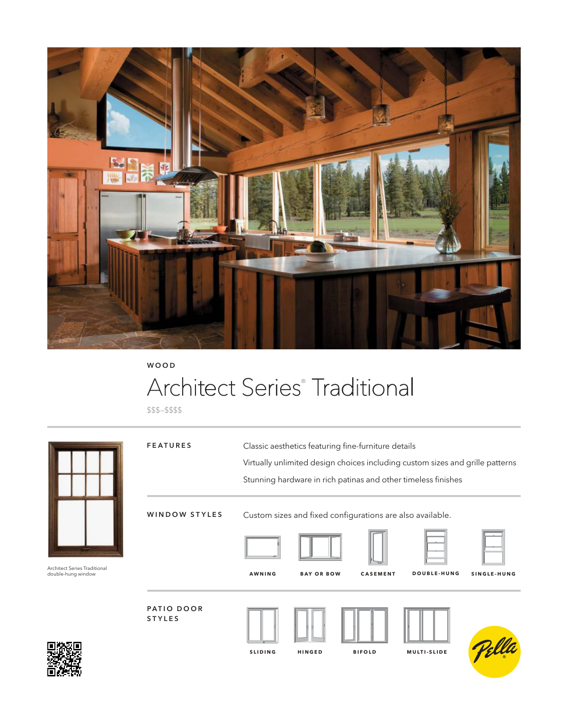

**WOOD**

# Architect Series® Traditional

\$\$\$–\$\$\$\$

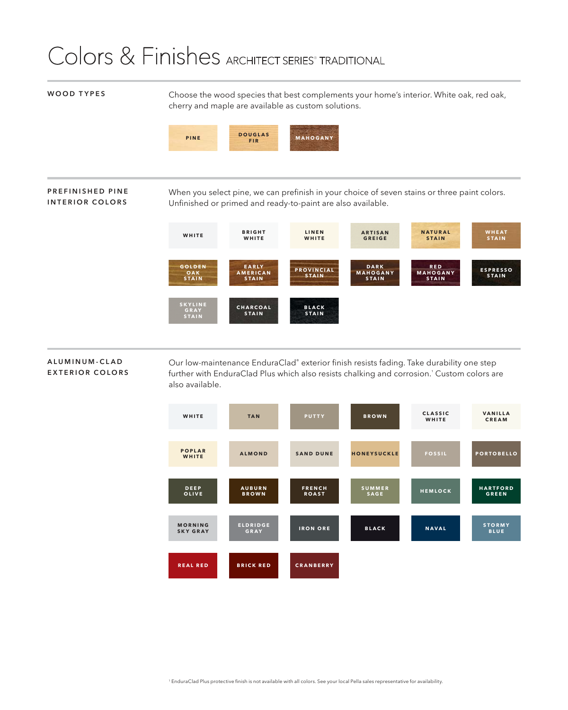### Colors & Finishes ARCHITECT SERIES<sup>®</sup> TRADITIONAL

**WOOD TYPES** Choose the wood species that best complements your home's interior. White oak, red oak, cherry and maple are available as custom solutions.



#### **PREFINISHED PINE INTERIOR COLORS**

When you select pine, we can prefinish in your choice of seven stains or three paint colors. Unfinished or primed and ready-to-paint are also available.



#### **A L U M I N U M - C L A D EXTERIOR COLORS**

Our low-maintenance EnduraClad® exterior finish resists fading. Take durability one step further with EnduraClad Plus which also resists chalking and corrosion.' Custom colors are also available.

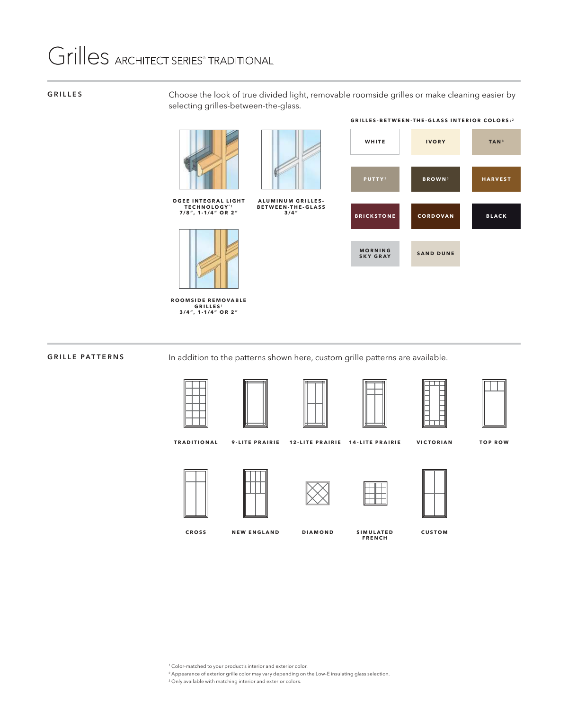# Grilles ARCHITECT SERIES<sup>®</sup> TRADITIONAL

#### **GRILLES**

Choose the look of true divided light, removable roomside grilles or make cleaning easier by selecting grilles-between-the-glass.





**ALUMINUM GRILLES-BETWEEN-THE-GLASS 3/4"**

**O G E E I N T E G R A L L I G H T TECHNOLOGY**® ¹ **7/8", 1-1/4" OR 2"**



**R O O M S I D E R E M O V A B L E GRILLES** ¹ **3/4", 1-1/4" OR 2"**

| WHITE                             | <b>IVORY</b>              | TAN <sup>3</sup> |
|-----------------------------------|---------------------------|------------------|
|                                   |                           |                  |
| <b>PUTTY3</b>                     | <b>BROWN</b> <sup>3</sup> | <b>HARVEST</b>   |
|                                   |                           |                  |
| <b>BRICKSTONE</b>                 | CORDOVAN                  | <b>BLACK</b>     |
|                                   |                           |                  |
| <b>MORNING</b><br><b>SKY GRAY</b> | <b>SAND DUNE</b>          |                  |

**GRILLES-BETWEEN-THE-GLASS INTERIOR COLORS:**²

### **GRILLE PATTERNS**

In addition to the patterns shown here, custom grille patterns are available.









**TOP ROW**

**TRADITIONAL 9-LITE PRAIRIE 12-LITE PRAIRIE 14-LITE PRAIRIE**











**S I M U L A T E D CUSTOM FRENCH**

**VICTORIAN**

**CROSS NEW ENGLAND** **DIAMOND**

<sup>1</sup> Color-matched to your product's interior and exterior color.

2 Appearance of exterior grille color may vary depending on the Low-E insulating glass selection.

<sup>3</sup> Only available with matching interior and exterior colors.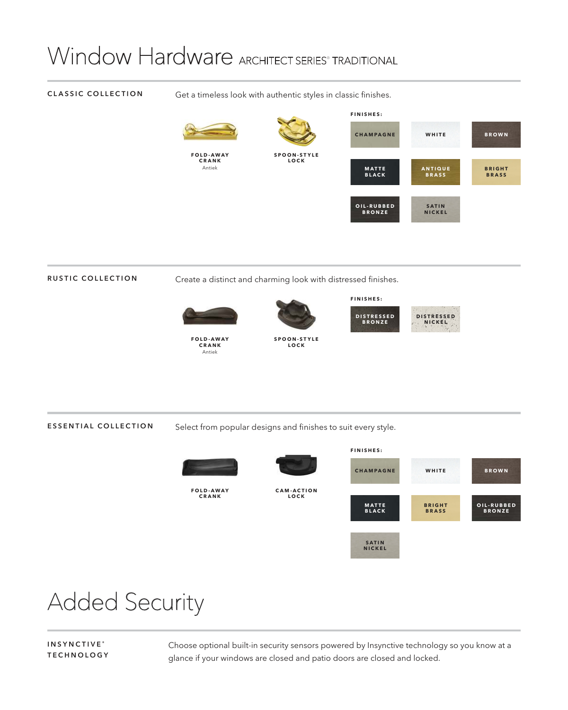# Window Hardware ARCHITECT SERIES<sup>®</sup> TRADITIONAL

#### **CLASSIC COLLECTION** Get a timeless look with authentic styles in classic finishes. **FOLD-AWAY CRANK** Antiek **S P O O N - S T Y L E LOCK FINISHES: A N T I Q U E BRASS MATTE BLACK B R I G H T BRASS CHAMPAGNE WHITE BROWN SATIN NICKEL O I L - R U B B E D BRONZE**

**RUSTIC COLLECTION** Create a distinct and charming look with distressed finishes.



**FOLD-AWAY CRANK** Antiek



**S P O O N - S T Y L E LOCK**

**D I S T R E S S E D BRONZE DISTRESSED NICKEL**

**FINISHES:**

**ESSENTIAL COLLECTION** Select from popular designs and finishes to suit every style.



## Added Security

**INSYNCTIVE ® TECHNOLOGY** Choose optional built-in security sensors powered by Insynctive technology so you know at a glance if your windows are closed and patio doors are closed and locked.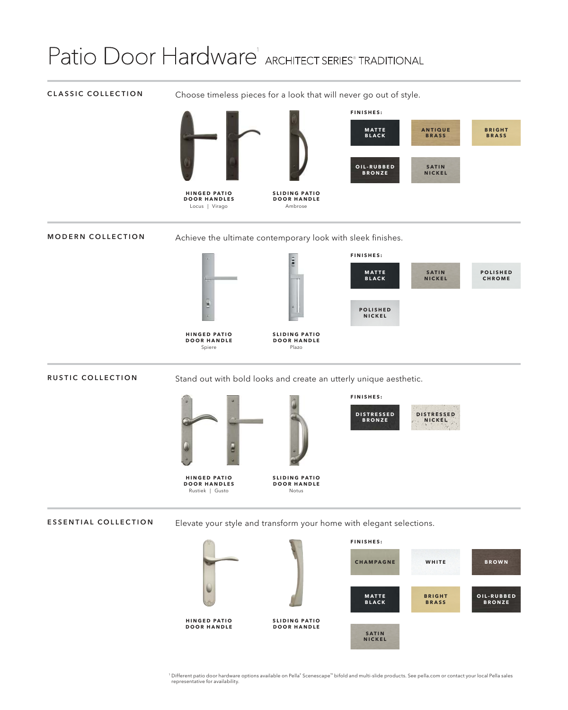# Patio Door Hardware<sup>1</sup> ARCHITECT SERIES<sup>®</sup> TRADITIONAL

### **CLASSIC COLLECTION**

Choose timeless pieces for a look that will never go out of style.



**MODERN COLLECTION**

Achieve the ultimate contemporary look with sleek finishes.



**RUSTIC COLLECTION**

Stand out with bold looks and create an utterly unique aesthetic.



**DOOR HANDLES** Rustiek | Gusto

**HINGED PATIO DOOR HANDLE** Spiere



**SLIDING PATIO DOOR HANDLE** Notus

**FINISHES:**



**ESSENTIAL COLLECTION** Elevate your style and transform your home with elegant selections.



<sup>1</sup> Different patio door hardware options available on Pella® Scenescape™ bifold and multi-slide products. See pella.com or contact your local Pella sales representative for availability.